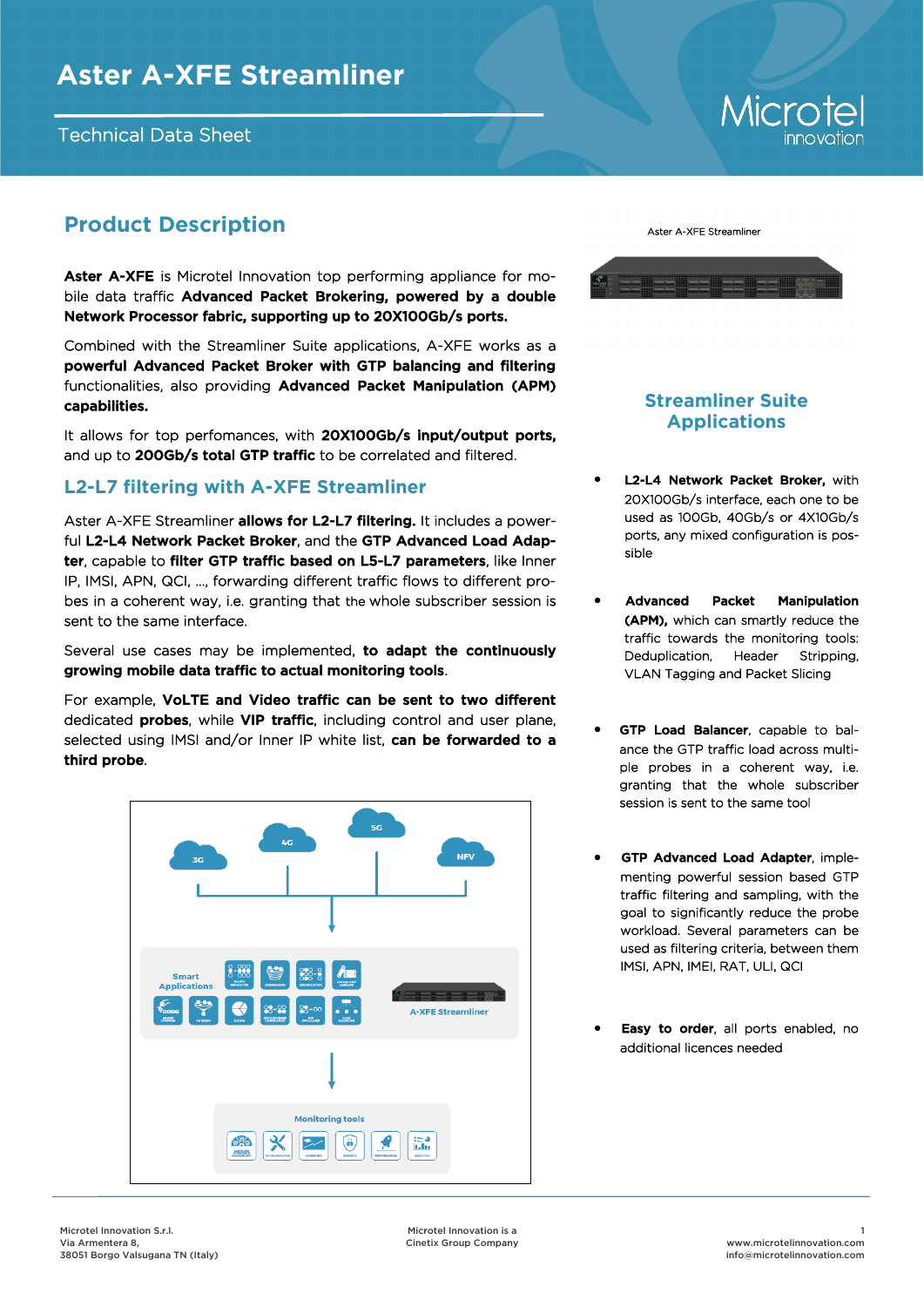#### Technical Data Sheet

# Microte

## **Product Description**

Aster A-XFE is Microtel Innovation top performing appliance for mobile data traffic Advanced Packet Brokering, powered by a double Network Processor fabric, supporting up to 20X100Gb/s ports.

Combined with the Streamliner Suite applications, A-XFE works as a powerful Advanced Packet Broker with GTP balancing and filtering functionalities, also providing Advanced Packet Manipulation (APM) capabilities.

It allows for top perfomances, with 20X100Gb/s input/output ports, and up to 200Gb/s total GTP traffic to be correlated and filtered.

#### **L2-L7 filtering with A-XFE Streamliner**

Aster A-XFE Streamliner allows for L2-L7 filtering. It includes a powerful L2-L4 Network Packet Broker, and the GTP Advanced Load Adapter, capable to filter GTP traffic based on L5-L7 parameters, like Inner IP, IMSI, APN, QCI, …, forwarding different traffic flows to different probes in a coherent way, i.e. granting that the whole subscriber session is sent to the same interface.

Several use cases may be implemented, to adapt the continuously growing mobile data traffic to actual monitoring tools.

For example, VoLTE and Video traffic can be sent to two different dedicated **probes**, while VIP traffic, including control and user plane, selected using IMSI and/or Inner IP white list, can be forwarded to a third probe.





### **Streamliner Suite Applications**

- L2-L4 Network Packet Broker, with 20X100Gb/s interface, each one to be used as 100Gb, 40Gb/s or 4X10Gb/s ports, any mixed configuration is possible
- Advanced Packet Manipulation (APM), which can smartly reduce the traffic towards the monitoring tools: Deduplication, Header Stripping, VLAN Tagging and Packet Slicing
- GTP Load Balancer, capable to balance the GTP traffic load across multiple probes in a coherent way, i.e. granting that the whole subscriber session is sent to the same tool
- GTP Advanced Load Adapter, implementing powerful session based GTP traffic filtering and sampling, with the goal to significantly reduce the probe workload. Several parameters can be used as filtering criteria, between them IMSI, APN, IMEI, RAT, ULI, QCI
- Easy to order, all ports enabled, no additional licences needed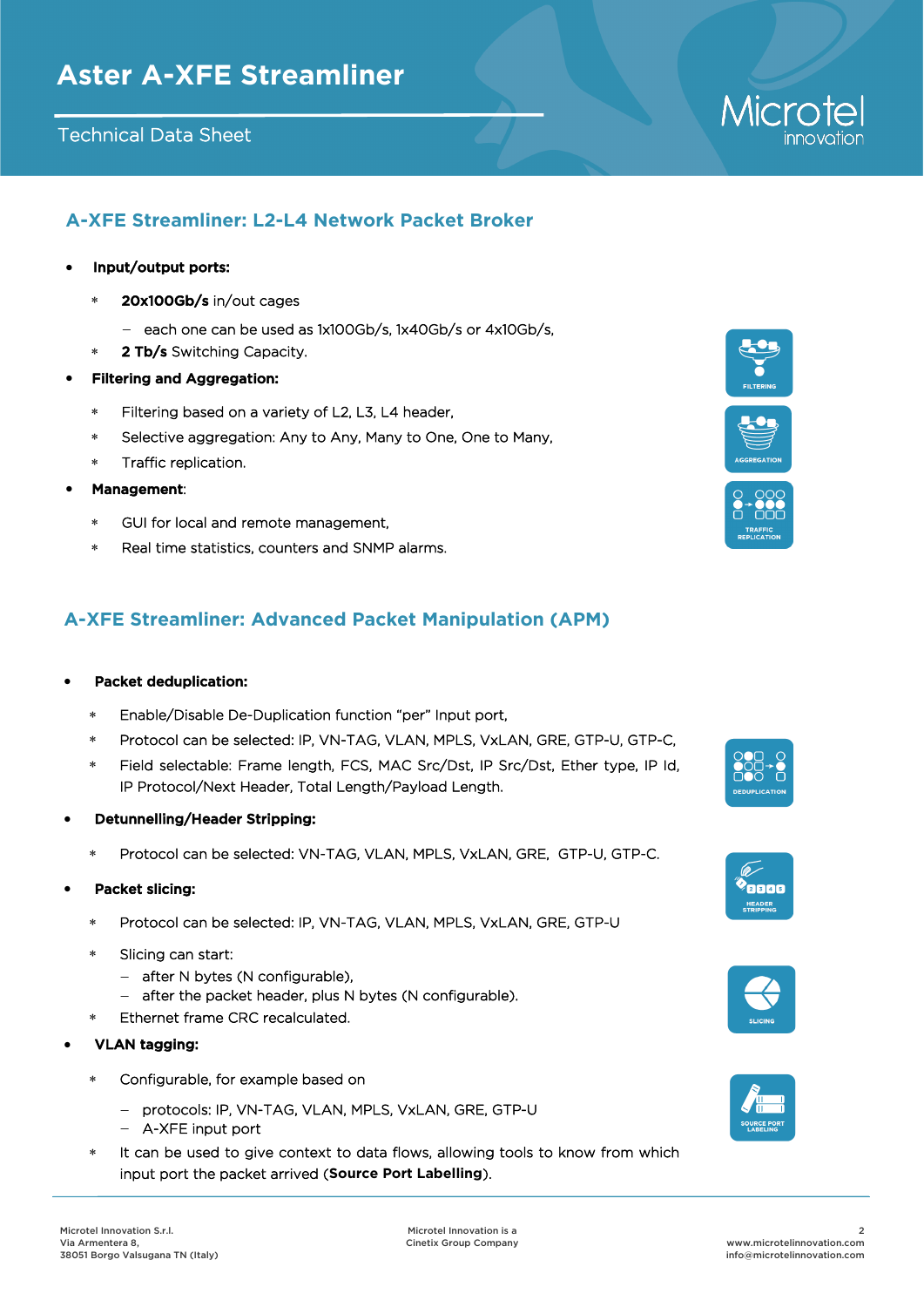#### Technical Data Sheet

#### **A-XFE Streamliner: L2-L4 Network Packet Broker**

#### Input/output ports:

- 20x100Gb/s in/out cages
	- $-$  each one can be used as 1x100Gb/s, 1x40Gb/s or 4x10Gb/s,
- \* 2 Tb/s Switching Capacity.
- Filtering and Aggregation:
	- Filtering based on a variety of L2, L3, L4 header,
	- Selective aggregation: Any to Any, Many to One, One to Many,
	- Traffic replication.
- Management:
	- GUI for local and remote management,
	- Real time statistics, counters and SNMP alarms.

#### **A-XFE Streamliner: Advanced Packet Manipulation (APM)**

#### Packet deduplication:

- Enable/Disable De-Duplication function "per" Input port,
- Protocol can be selected: IP, VN-TAG, VLAN, MPLS, VxLAN, GRE, GTP-U, GTP-C,
- Field selectable: Frame length, FCS, MAC Src/Dst, IP Src/Dst, Ether type, IP Id, IP Protocol/Next Header, Total Length/Payload Length.
- Detunnelling/Header Stripping:
	- Protocol can be selected: VN-TAG, VLAN, MPLS, VxLAN, GRE, GTP-U, GTP-C.
- Packet slicing:
	- Protocol can be selected: IP, VN-TAG, VLAN, MPLS, VxLAN, GRE, GTP-U
	- Slicing can start:
		- after N bytes (N configurable),
		- $-$  after the packet header, plus N bytes (N configurable).
	- Ethernet frame CRC recalculated.
- VLAN tagging:
	- Configurable, for example based on
		- protocols: IP, VN-TAG, VLAN, MPLS, VxLAN, GRE, GTP-U
		- A-XFE input port
	- It can be used to give context to data flows, allowing tools to know from which input port the packet arrived (**Source Port Labelling**).



Micro







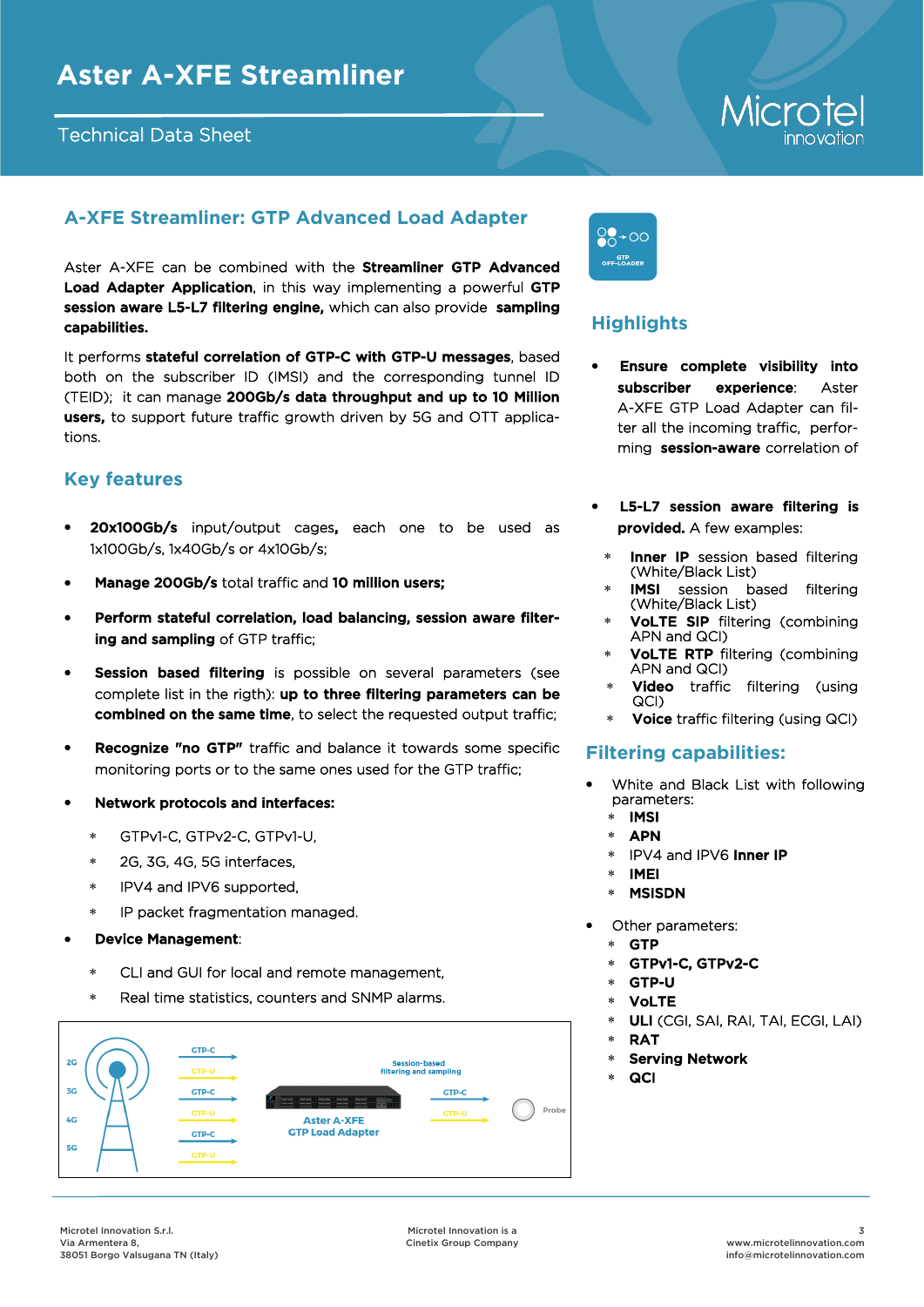#### Technical Data Sheet

# Microte

### **A-XFE Streamliner: GTP Advanced Load Adapter**

Aster A-XFE can be combined with the **Streamliner GTP Advanced** Load Adapter Application, in this way implementing a powerful GTP session aware L5-L7 filtering engine, which can also provide sampling capabilities.

It performs stateful correlation of GTP-C with GTP-U messages, based both on the subscriber ID (IMSI) and the corresponding tunnel ID (TEID); it can manage 200Gb/s data throughput and up to 10 Million users, to support future traffic growth driven by 5G and OTT applications.

#### **Key features**

- 20x100Gb/s input/output cages, each one to be used as 1x100Gb/s, 1x40Gb/s or 4x10Gb/s;
- Manage 200Gb/s total traffic and 10 million users;
- Perform stateful correlation, load balancing, session aware filtering and sampling of GTP traffic;
- **Session based filtering** is possible on several parameters (see complete list in the rigth): up to three filtering parameters can be combined on the same time, to select the requested output traffic;
- **Recognize "no GTP"** traffic and balance it towards some specific monitoring ports or to the same ones used for the GTP traffic;
- Network protocols and interfaces:
	- GTPv1-C, GTPv2-C, GTPv1-U,
	- 2G, 3G, 4G, 5G interfaces,
	- \* IPV4 and IPV6 supported,
	- IP packet fragmentation managed.
- Device Management:
	- CLI and GUI for local and remote management,
	- Real time statistics, counters and SNMP alarms.





## **Highlights**

- Ensure complete visibility into subscriber experience: Aster A-XFE GTP Load Adapter can filter all the incoming traffic, performing session-aware correlation of
- L5-L7 session aware filtering is provided. A few examples:
- \* Inner IP session based filtering (White/Black List)
- IMSI session based filtering (White/Black List)
- VoLTE SIP filtering (combining APN and QCI)
- VoLTE RTP filtering (combining APN and QCI)
- Video traffic filtering (using QCI)
- Voice traffic filtering (using QCI)

#### **Filtering capabilities:**

- White and Black List with following parameters:
	- \* IMSI
	- \* APN
	- \* IPV4 and IPV6 Inner IP
	- IMEI
	- MSISDN
	- Other parameters:
		- GTP
		- GTPv1-C, GTPv2-C
		- GTP-U
		- VoLTE
		- ULI (CGI, SAI, RAI, TAI, ECGI, LAI)
		- \* RAT
		- Serving Network
		- **QCI**